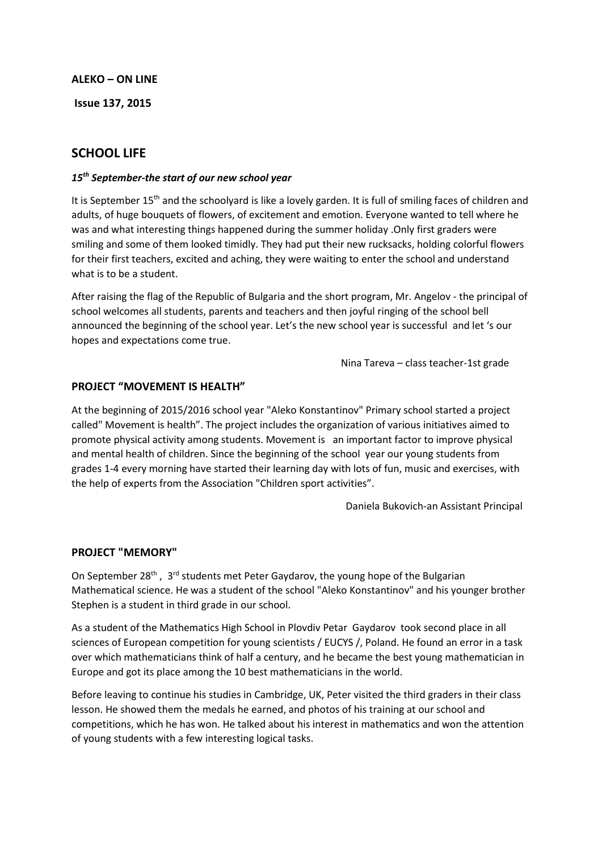### **ALEKO – ON LINE**

**Issue 137, 2015** 

# **SCHOOL LIFE**

### *15th September-the start of our new school year*

It is September 15<sup>th</sup> and the schoolyard is like a lovely garden. It is full of smiling faces of children and adults, of huge bouquets of flowers, of excitement and emotion. Everyone wanted to tell where he was and what interesting things happened during the summer holiday .Only first graders were smiling and some of them looked timidly. They had put their new rucksacks, holding colorful flowers for their first teachers, excited and aching, they were waiting to enter the school and understand what is to be a student.

After raising the flag of the Republic of Bulgaria and the short program, Mr. Angelov - the principal of school welcomes all students, parents and teachers and then joyful ringing of the school bell announced the beginning of the school year. Let's the new school year is successful and let 's our hopes and expectations come true.

Nina Tareva – class teacher-1st grade

## **PROJECT "MOVEMENT IS HEALTH"**

At the beginning of 2015/2016 school year "Aleko Konstantinov" Primary school started a project called" Movement is health". The project includes the organization of various initiatives aimed to promote physical activity among students. Movement is an important factor to improve physical and mental health of children. Since the beginning of the school year our young students from grades 1-4 every morning have started their learning day with lots of fun, music and exercises, with the help of experts from the Association "Children sport activities".

Daniela Bukovich-an Assistant Principal

## **PROJECT "MEMORY"**

On September 28<sup>th</sup>, 3<sup>rd</sup> students met Peter Gaydarov, the young hope of the Bulgarian Mathematical science. He was a student of the school "Aleko Konstantinov" and his younger brother Stephen is a student in third grade in our school.

As a student of the Mathematics High School in Plovdiv Petar Gaydarov took second place in all sciences of European competition for young scientists / EUCYS /, Poland. He found an error in a task over which mathematicians think of half a century, and he became the best young mathematician in Europe and got its place among the 10 best mathematicians in the world.

Before leaving to continue his studies in Cambridge, UK, Peter visited the third graders in their class lesson. He showed them the medals he earned, and photos of his training at our school and competitions, which he has won. He talked about his interest in mathematics and won the attention of young students with a few interesting logical tasks.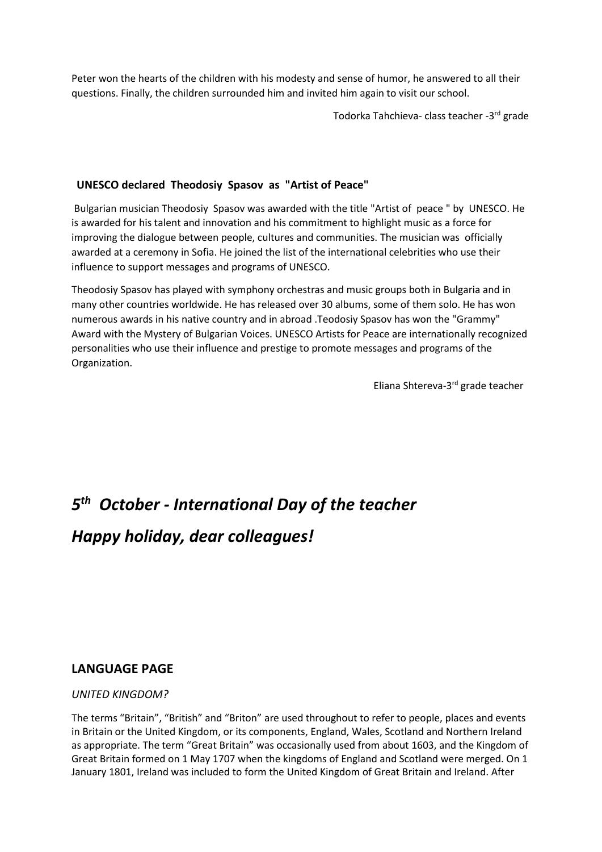Peter won the hearts of the children with his modesty and sense of humor, he answered to all their questions. Finally, the children surrounded him and invited him again to visit our school.

Todorka Tahchieva- class teacher -3 rd grade

# **UNESCO declared Theodosiy Spasov as "Artist of Peace"**

Bulgarian musician Theodosiy Spasov was awarded with the title "Artist of peace " by UNESCO. He is awarded for his talent and innovation and his commitment to highlight music as a force for improving the dialogue between people, cultures and communities. The musician was officially awarded at a ceremony in Sofia. He joined the list of the international celebrities who use their influence to support messages and programs of UNESCO.

Theodosiy Spasov has played with symphony orchestras and music groups both in Bulgaria and in many other countries worldwide. He has released over 30 albums, some of them solo. He has won numerous awards in his native country and in abroad .Teodosiy Spasov has won the "Grammy" Award with the Mystery of Bulgarian Voices. UNESCO Artists for Peace are internationally recognized personalities who use their influence and prestige to promote messages and programs of the Organization.

Eliana Shtereva-3 rd grade teacher

# *5 th October - International Day of the teacher*

# *Happy holiday, dear colleagues!*

# **LANGUAGE PAGE**

## *UNITED KINGDOM?*

The terms "Britain", "British" and "Briton" are used throughout to refer to people, places and events in Britain or the United Kingdom, or its components, England, Wales, Scotland and Northern Ireland as appropriate. The term "Great Britain" was occasionally used from about 1603, and the Kingdom of Great Britain formed on 1 May 1707 when the kingdoms of England and Scotland were merged. On 1 January 1801, Ireland was included to form the United Kingdom of Great Britain and Ireland. After